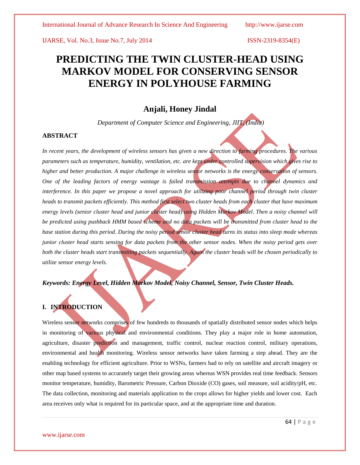# **PREDICTING THE TWIN CLUSTER-HEAD USING MARKOV MODEL FOR CONSERVING SENSOR ENERGY IN POLYHOUSE FARMING**

# **Anjali, Honey Jindal**

*Department of Computer Science and Engineering, JIIT, (India)*

### **ABSTRACT**

In recent years, the development of wireless sensors has given a new direction to farming procedures. The various *parameters such as temperature, humidity, ventilation, etc. are kept under controlled supervision which gives rise to higher and better production. A major challenge in wireless sensor networks is the energy conservation of sensors. One of the leading factors of energy wastage is failed transmission attempts due to channel dynamics and interference. In this paper we propose a novel approach for utilizing poor channel period through twin cluster heads to transmit packets efficiently. This method first select two cluster heads from each cluster that have maximum energy levels (senior cluster head and junior cluster head) using Hidden Markov Model. Then a noisy channel will*  be predicted using pushback HMM based scheme and no data packets will be transmitted from cluster head to the *base station during this period. During the noisy period senior cluster head turns its status into sleep mode whereas junior cluster head starts sensing for data packets from the other sensor nodes. When the noisy period gets over both the cluster heads start transmitting packets sequentially. Again the cluster heads will be chosen periodically to utilize sensor energy levels.* 

### *Keywords: Energy Level, Hidden Markov Model, Noisy Channel, Sensor, Twin Cluster Heads.*

## **I. INTRODUCTION**

Wireless sensor networks comprises of few hundreds to thousands of spatially distributed sensor nodes which helps in monitoring of various physical and environmental conditions. They play a major role in home automation, agriculture, disaster prediction and management, traffic control, nuclear reaction control, military operations, environmental and health monitoring. Wireless sensor networks have taken farming a step ahead. They are the enabling technology for efficient agriculture. Prior to WSNs, farmers had to rely on satellite and aircraft imagery or other map based systems to accurately target their growing areas whereas WSN provides real time feedback. Sensors monitor temperature, humidity, Barometric Pressure, Carbon Dioxide (CO) gases, soil measure, soil acidity/pH, etc. The data collection, monitoring and materials application to the crops allows for higher yields and lower cost. Each area receives only what is required for its particular space, and at the appropriate time and duration.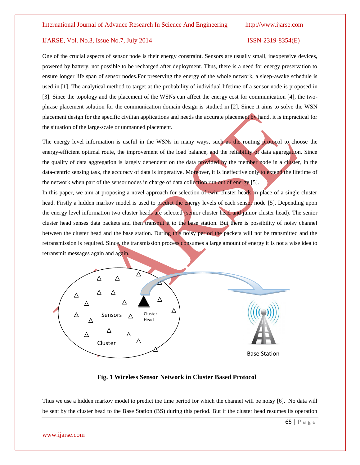One of the crucial aspects of sensor node is their energy constraint. Sensors are usually small, inexpensive devices, powered by battery, not possible to be recharged after deployment. Thus, there is a need for energy preservation to ensure longer life span of sensor nodes.For preserving the energy of the whole network, a sleep-awake schedule is used in [1]. The analytical method to target at the probability of individual lifetime of a sensor node is proposed in [3]. Since the topology and the placement of the WSNs can affect the energy cost for communication [4], the twophrase placement solution for the communication domain design is studied in [2]. Since it aims to solve the WSN placement design for the specific civilian applications and needs the accurate placement by hand, it is impractical for the situation of the large-scale or unmanned placement.

The energy level information is useful in the WSNs in many ways, such as the routing protocol to choose the energy-efficient optimal route, the improvement of the load balance, and the reliability of data aggregation. Since the quality of data aggregation is largely dependent on the data provided by the member node in a cluster, in the data-centric sensing task, the accuracy of data is imperative. Moreover, it is ineffective only to extend the lifetime of the network when part of the sensor nodes in charge of data collection run out of energy [5].

In this paper, we aim at proposing a novel approach for selection of twin cluster heads in place of a single cluster head. Firstly a hidden markov model is used to predict the energy levels of each sensor node [5]. Depending upon the energy level information two cluster heads are selected (senior cluster head and junior cluster head). The senior cluster head senses data packets and then transmit it to the base station. But there is possibility of noisy channel between the cluster head and the base station. During this noisy period the packets will not be transmitted and the retransmission is required. Since, the transmission process consumes a large amount of energy it is not a wise idea to retransmit messages again and again.



#### **Fig. 1 Wireless Sensor Network in Cluster Based Protocol**

Thus we use a hidden markov model to predict the time period for which the channel will be noisy [6]. No data will be sent by the cluster head to the Base Station (BS) during this period. But if the cluster head resumes its operation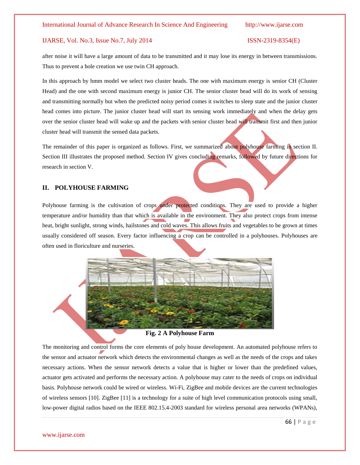after noise it will have a large amount of data to be transmitted and it may lose its energy in between transmissions. Thus to prevent a hole creation we use twin CH approach.

In this approach by hmm model we select two cluster heads. The one with maximum energy is senior CH (Cluster Head) and the one with second maximum energy is junior CH. The senior cluster head will do its work of sensing and transmitting normally but when the predicted noisy period comes it switches to sleep state and the junior cluster head comes into picture. The junior cluster head will start its sensing work immediately and when the delay gets over the senior cluster head will wake up and the packets with senior cluster head will transmit first and then junior cluster head will transmit the sensed data packets.

The remainder of this paper is organized as follows. First, we summarized about polyhouse farming in section II. Section III illustrates the proposed method. Section IV gives concluding remarks, followed by future directions for research in section V.

### **II. POLYHOUSE FARMING**

Polyhouse farming is the cultivation of crops under protected conditions. They are used to provide a higher temperature and/or humidity than that which is available in the environment. They also protect crops from intense heat, bright sunlight, strong winds, [hailstones](http://en.wikipedia.org/wiki/Hail) and [cold waves.](http://en.wikipedia.org/wiki/Cold_wave) This allows fruits and vegetables to be grown at times usually considered off season. Every factor influencing a crop can be controlled in a polyhouses. Polyhouses are often used in [floriculture](http://en.wikipedia.org/wiki/Floriculture) and nurseries.



### **Fig. 2 A Polyhouse Farm**

The monitoring and control forms the core elements of poly house development. An automated polyhouse refers to the sensor and actuator network which detects the environmental changes as well as the needs of the crops and takes necessary actions. When the sensor network detects a value that is higher or lower than the predefined values, actuator gets activated and performs the necessary action. A polyhouse may cater to the needs of crops on individual basis. Polyhouse network could be wired or wireless. Wi-Fi, ZigBee and mobile devices are the current technologies of wireless sensors [10]. ZigBee [11] is a technology for a suite of high level communication protocols using small, low-power digital radios based on the IEEE 802.15.4-2003 standard for wireless personal area networks (WPANs),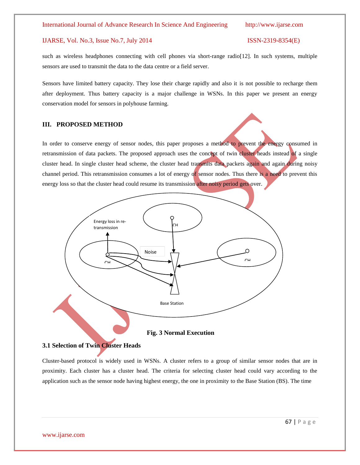such as wireless headphones connecting with cell phones via short-range radio[12]. In such systems, multiple sensors are used to transmit the data to the data centre or a field server.

Sensors have limited battery capacity. They lose their charge rapidly and also it is not possible to recharge them after deployment. Thus battery capacity is a major challenge in WSNs. In this paper we present an energy conservation model for sensors in polyhouse farming.

#### **III. PROPOSED METHOD**

In order to conserve energy of sensor nodes, this paper proposes a method to prevent the energy consumed in retransmission of data packets. The proposed approach uses the concept of twin cluster heads instead of a single cluster head. In single cluster head scheme, the cluster head transmits data packets again and again during noisy channel period. This retransmission consumes a lot of energy of sensor nodes. Thus there is a need to prevent this energy loss so that the cluster head could resume its transmission after noisy period gets over.



**Fig. 3 Normal Execution**

### **3.1 Selection of Twin Cluster Heads**

Cluster-based protocol is widely used in WSNs. A cluster refers to a group of similar sensor nodes that are in proximity. Each cluster has a cluster head. The criteria for selecting cluster head could vary according to the application such as the sensor node having highest energy, the one in proximity to the Base Station (BS). The time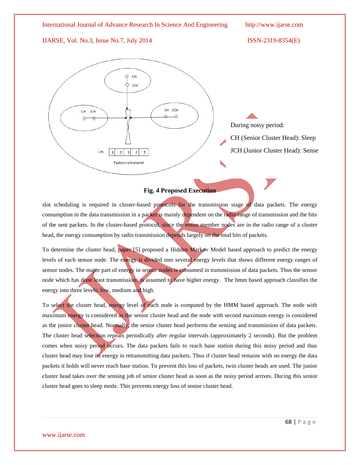International Journal of Advance Research In Science And Engineering http://www.ijarse.com IJARSE, Vol. No.3, Issue No.7, July 2014 ISSN-2319-8354(E) CH **JCH** CH JCH CH JCH During noisy period: CH (Senior Cluster Head): Sleep JCH (Junior Cluster Head): SenseCH- $\overline{2}$  $\overline{\mathbf{3}}$  $\overline{4}$  $\overline{\mathbf{5}}$ 

### **Fig. 4 Proposed Execution**

Packets to transmit

slot scheduling is required in cluster-based protocols for the transmission stage of data packets. The energy consumption in the data transmission in a packet is mainly dependent on the radio range of transmission and the bits of the sent packets. In the cluster-based protocol, since the entire member nodes are in the radio range of a cluster head, the energy consumption by radio transmission depends largely on the total bits of packets.

To determine the cluster head, paper [5] proposed a Hidden Markov Model based approach to predict the energy levels of each sensor node. The energy is divided into several energy levels that shows different energy ranges of sensor nodes. The major part of energy in sensor nodes is consumed in transmission of data packets. Thus the sensor node which has done least transmissions is assumed to have higher energy. The hmm based approach classifies the energy into three levels: low, medium and high.

To select the cluster head, energy level of each node is computed by the HMM based approach. The node with maximum energy is considered as the senior cluster head and the node with second maximum energy is considered as the junior cluster head. Normally, the senior cluster head performs the sensing and transmission of data packets. The cluster head selection repeats periodically after regular intervals (approximately 2 seconds). But the problem comes when noisy period occurs. The data packets fails to reach base station during this noisy period and thus cluster head may lose its energy in retransmitting data packets. Thus if cluster head remains with no energy the data packets it holds will never reach base station. To prevent this loss of packets, twin cluster heads are used. The junior cluster head takes over the sensing job of senior cluster head as soon as the noisy period arrives. During this senior cluster head goes to sleep mode. This prevents energy loss of senior cluster head.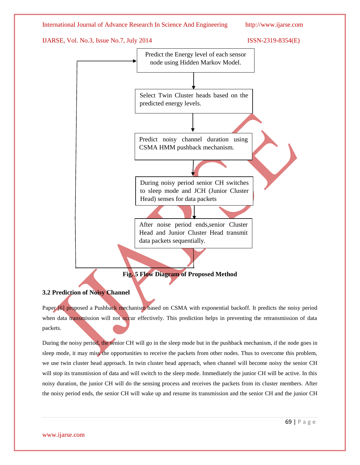

# **3.2 Prediction of Noisy Channel**

Paper [6] proposed a Pushback mechanism based on CSMA with exponential backoff. It predicts the noisy period when data transmission will not occur effectively. This prediction helps in preventing the retransmission of data packets.

During the noisy period, the senior CH will go in the sleep mode but in the pushback mechanism, if the node goes in sleep mode, it may miss the opportunities to receive the packets from other nodes. Thus to overcome this problem, we use twin cluster head approach. In twin cluster head approach, when channel will become noisy the senior CH will stop its transmission of data and will switch to the sleep mode. Immediately the junior CH will be active. In this noisy duration, the junior CH will do the sensing process and receives the packets from its cluster members. After the noisy period ends, the senior CH will wake up and resume its transmission and the senior CH and the junior CH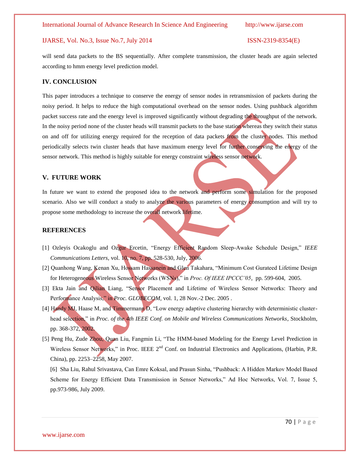will send data packets to the BS sequentially. After complete transmission, the cluster heads are again selected according to hmm energy level prediction model.

### **IV. CONCLUSION**

This paper introduces a technique to conserve the energy of sensor nodes in retransmission of packets during the noisy period. It helps to reduce the high computational overhead on the sensor nodes. Using pushback algorithm packet success rate and the energy level is improved significantly without degrading the throughput of the network. In the noisy period none of the cluster heads will transmit packets to the base station whereas they switch their status on and off for utilizing energy required for the reception of data packets from the cluster nodes. This method periodically selects twin cluster heads that have maximum energy level for further conserving the energy of the sensor network. This method is highly suitable for energy constraint wireless sensor network.

#### **V. FUTURE WORK**

In future we want to extend the proposed idea to the network and perform some simulation for the proposed scenario. Also we will conduct a study to analyze the various parameters of energy consumption and will try to propose some methodology to increase the overall network lifetime.

#### **REFERENCES**

- [1] Ozleyis Ocakoglu and Ozgur Ercetin, "Energy Efficient Random Sleep-Awake Schedule Design," *IEEE Communications Letters*, vol. 10, no. 7, pp. 528-530, July, 2006.
- [2] Quanhong Wang, Kenan Xu, Hossam Hassanein and Glen Takahara, "Minimum Cost Gurateed Lifetime Design for Heterogeneous Wireless Sensor Networks (WSNs)," in *Proc. Of IEEE IPCCC'05*, pp. 599-604, 2005.
- [3] Ekta Jain and Qilian Liang, "Sensor Placement and Lifetime of Wireless Sensor Networks: Theory and Performance Analysis," in *Proc. GLOBECOM*, vol. 1, 28 Nov.-2 Dec. 2005.
- [4] Handy MJ, Haase M, and Timmermann D, "Low energy adaptive clustering hierarchy with deterministic clusterhead selection," in *Proc. of the 4th IEEE Conf. on Mobile and Wireless Communications Networks*, Stockholm, pp. 368-372, 2002.
- [5] Peng Hu, Zude Zhou, Quan Liu, Fangmin Li, "The HMM-based Modeling for the Energy Level Prediction in Wireless Sensor Networks," in Proc. IEEE 2<sup>nd</sup> Conf. on Industrial Electronics and Applications, (Harbin, P.R. China), pp. 2253–2258, May 2007.

[6] Sha Liu, Rahul Srivastava, Can Emre Koksal, and Prasun Sinha, "Pushback: A Hidden Markov Model Based Scheme for Energy Efficient Data Transmission in Sensor Networks," Ad Hoc Networks, Vol. 7, Issue 5, pp.973-986, July 2009.